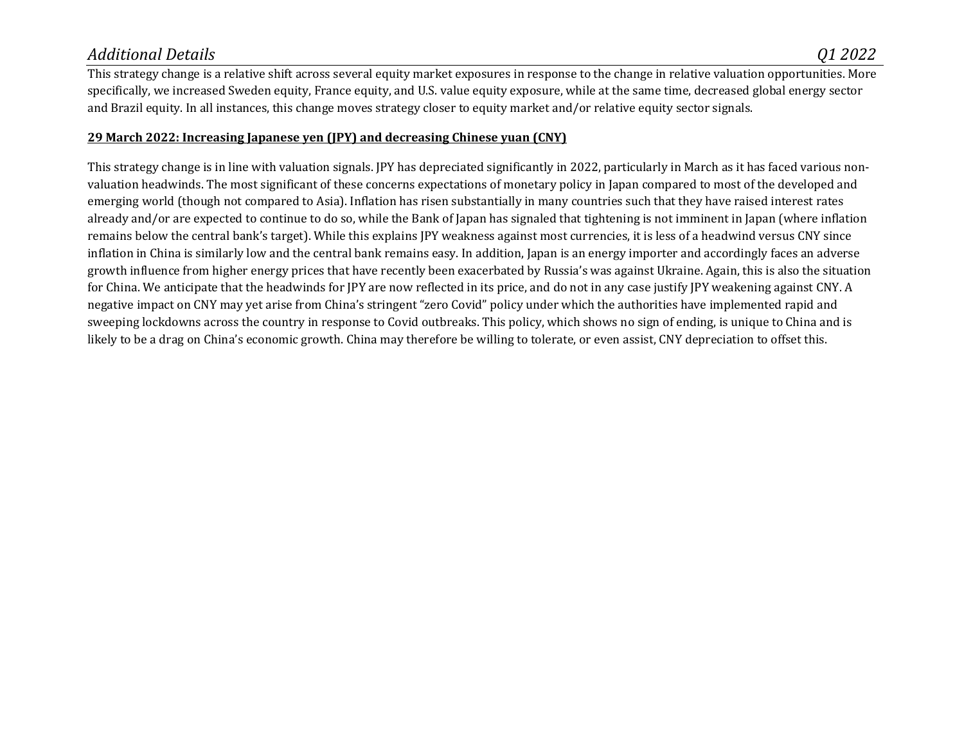## *Additional Details Q1 2022*

This strategy change is a relative shift across several equity market exposures in response to the change in relative valuation opportunities. More specifically, we increased Sweden equity, France equity, and U.S. value equity exposure, while at the same time, decreased global energy sector and Brazil equity. In all instances, this change moves strategy closer to equity market and/or relative equity sector signals.

## **29 March 2022: Increasing Japanese yen (JPY) and decreasing Chinese yuan (CNY)**

This strategy change is in line with valuation signals. JPY has depreciated significantly in 2022, particularly in March as it has faced various nonvaluation headwinds. The most significant of these concerns expectations of monetary policy in Japan compared to most of the developed and emerging world (though not compared to Asia). Inflation has risen substantially in many countries such that they have raised interest rates already and/or are expected to continue to do so, while the Bank of Japan has signaled that tightening is not imminent in Japan (where inflation remains below the central bank's target). While this explains JPY weakness against most currencies, it is less of a headwind versus CNY since inflation in China is similarly low and the central bank remains easy. In addition, Japan is an energy importer and accordingly faces an adverse growth influence from higher energy prices that have recently been exacerbated by Russia's was against Ukraine. Again, this is also the situation for China. We anticipate that the headwinds for JPY are now reflected in its price, and do not in any case justify JPY weakening against CNY. A negative impact on CNY may yet arise from China's stringent "zero Covid" policy under which the authorities have implemented rapid and sweeping lockdowns across the country in response to Covid outbreaks. This policy, which shows no sign of ending, is unique to China and is likely to be a drag on China's economic growth. China may therefore be willing to tolerate, or even assist, CNY depreciation to offset this.